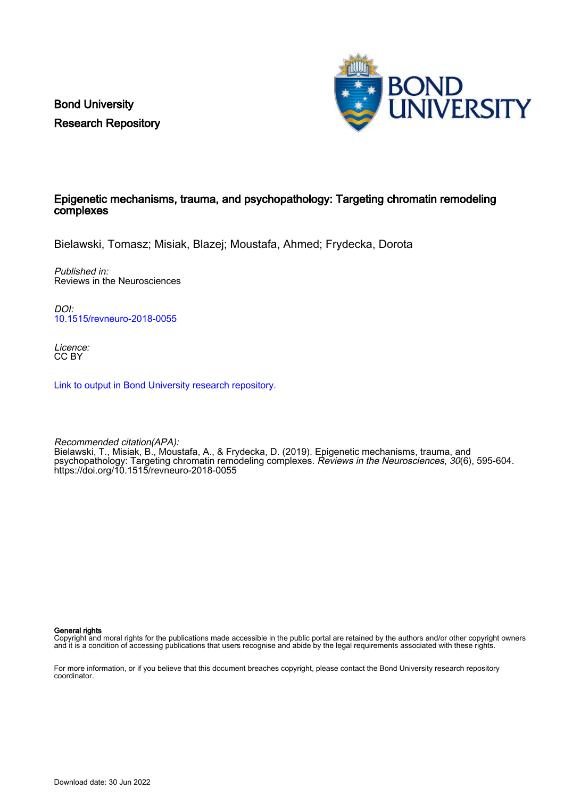Bond University Research Repository



## Epigenetic mechanisms, trauma, and psychopathology: Targeting chromatin remodeling complexes

Bielawski, Tomasz; Misiak, Blazej; Moustafa, Ahmed; Frydecka, Dorota

Published in: Reviews in the Neurosciences

DOI: [10.1515/revneuro-2018-0055](https://doi.org/10.1515/revneuro-2018-0055)

Licence: CC BY

[Link to output in Bond University research repository.](https://research.bond.edu.au/en/publications/035bda00-e605-4ccd-be60-964b31d440ca)

Recommended citation(APA): Bielawski, T., Misiak, B., Moustafa, A., & Frydecka, D. (2019). Epigenetic mechanisms, trauma, and psychopathology: Targeting chromatin remodeling complexes. *Reviews in the Neurosciences*, 30(6), 595-604. <https://doi.org/10.1515/revneuro-2018-0055>

General rights

Copyright and moral rights for the publications made accessible in the public portal are retained by the authors and/or other copyright owners and it is a condition of accessing publications that users recognise and abide by the legal requirements associated with these rights.

For more information, or if you believe that this document breaches copyright, please contact the Bond University research repository coordinator.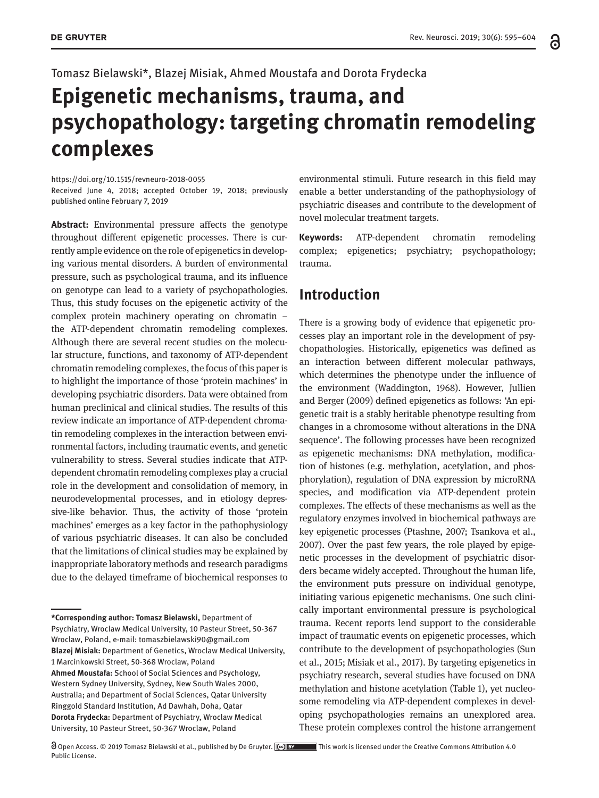## Tomasz Bielawski\*, Blazej Misiak, Ahmed Moustafa and Dorota Frydecka

# **Epigenetic mechanisms, trauma, and psychopathology: targeting chromatin remodeling complexes**

<https://doi.org/10.1515/revneuro-2018-0055> Received June 4, 2018; accepted October 19, 2018; previously published online February 7, 2019

**Abstract:** Environmental pressure affects the genotype throughout different epigenetic processes. There is currently ample evidence on the role of epigenetics in developing various mental disorders. A burden of environmental pressure, such as psychological trauma, and its influence on genotype can lead to a variety of psychopathologies. Thus, this study focuses on the epigenetic activity of the complex protein machinery operating on chromatin – the ATP-dependent chromatin remodeling complexes. Although there are several recent studies on the molecular structure, functions, and taxonomy of ATP-dependent chromatin remodeling complexes, the focus of this paper is to highlight the importance of those 'protein machines' in developing psychiatric disorders. Data were obtained from human preclinical and clinical studies. The results of this review indicate an importance of ATP-dependent chromatin remodeling complexes in the interaction between environmental factors, including traumatic events, and genetic vulnerability to stress. Several studies indicate that ATPdependent chromatin remodeling complexes play a crucial role in the development and consolidation of memory, in neurodevelopmental processes, and in etiology depressive-like behavior. Thus, the activity of those 'protein machines' emerges as a key factor in the pathophysiology of various psychiatric diseases. It can also be concluded that the limitations of clinical studies may be explained by inappropriate laboratory methods and research paradigms due to the delayed timeframe of biochemical responses to

environmental stimuli. Future research in this field may enable a better understanding of the pathophysiology of psychiatric diseases and contribute to the development of novel molecular treatment targets.

**Keywords:** ATP-dependent chromatin remodeling complex; epigenetics; psychiatry; psychopathology; trauma.

# **Introduction**

There is a growing body of evidence that epigenetic processes play an important role in the development of psychopathologies. Historically, epigenetics was defined as an interaction between different molecular pathways, which determines the phenotype under the influence of the environment (Waddington, 1968). However, Jullien and Berger (2009) defined epigenetics as follows: 'An epigenetic trait is a stably heritable phenotype resulting from changes in a chromosome without alterations in the DNA sequence'. The following processes have been recognized as epigenetic mechanisms: DNA methylation, modification of histones (e.g. methylation, acetylation, and phosphorylation), regulation of DNA expression by microRNA species, and modification via ATP-dependent protein complexes. The effects of these mechanisms as well as the regulatory enzymes involved in biochemical pathways are key epigenetic processes (Ptashne, 2007; Tsankova et al., 2007). Over the past few years, the role played by epigenetic processes in the development of psychiatric disorders became widely accepted. Throughout the human life, the environment puts pressure on individual genotype, initiating various epigenetic mechanisms. One such clinically important environmental pressure is psychological trauma. Recent reports lend support to the considerable impact of traumatic events on epigenetic processes, which contribute to the development of psychopathologies (Sun et al., 2015; Misiak et al., 2017). By targeting epigenetics in psychiatry research, several studies have focused on DNA methylation and histone acetylation (Table 1), yet nucleosome remodeling via ATP-dependent complexes in developing psychopathologies remains an unexplored area. These protein complexes control the histone arrangement

**<sup>\*</sup>Corresponding author: Tomasz Bielawski,** Department of Psychiatry, Wroclaw Medical University, 10 Pasteur Street, 50-367 Wroclaw, Poland, e-mail: [tomaszbielawski90@gmail.com](mailto:tomaszbielawski90@gmail.com) **Blazej Misiak:** Department of Genetics, Wroclaw Medical University, 1 Marcinkowski Street, 50-368 Wroclaw, Poland **Ahmed Moustafa:** School of Social Sciences and Psychology, Western Sydney University, Sydney, New South Wales 2000, Australia; and Department of Social Sciences, Qatar University Ringgold Standard Institution, Ad Dawhah, Doha, Qatar **Dorota Frydecka:** Department of Psychiatry, Wroclaw Medical University, 10 Pasteur Street, 50-367 Wroclaw, Poland

Open Access. © 2019 Tomasz Bielawski et al., published by De Gruyter. (e) BY This work is licensed under the Creative Commons Attribution 4.0 Public License.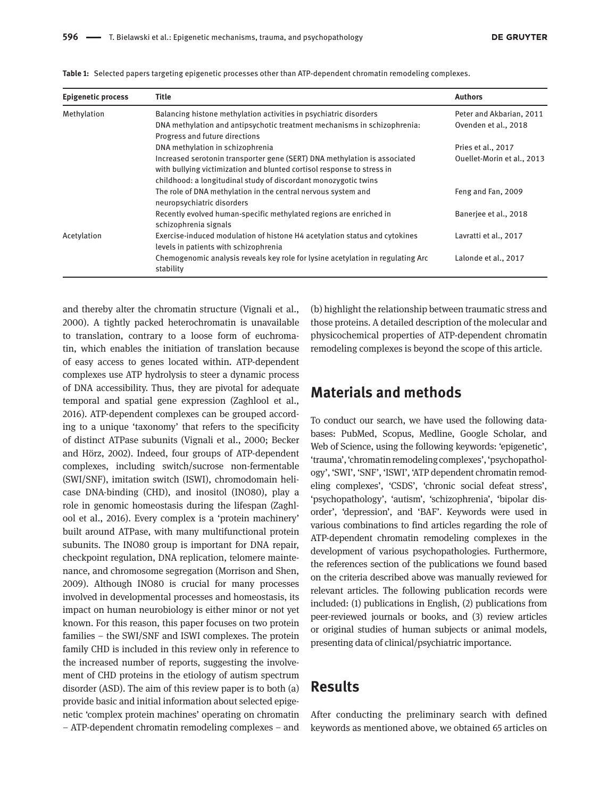| <b>Epigenetic process</b> | Title                                                                                                                                                                                                                  | <b>Authors</b>             |
|---------------------------|------------------------------------------------------------------------------------------------------------------------------------------------------------------------------------------------------------------------|----------------------------|
| Methylation               | Balancing histone methylation activities in psychiatric disorders                                                                                                                                                      | Peter and Akbarian, 2011   |
|                           | DNA methylation and antipsychotic treatment mechanisms in schizophrenia:<br>Progress and future directions                                                                                                             | Ovenden et al., 2018       |
|                           | DNA methylation in schizophrenia                                                                                                                                                                                       | Pries et al., 2017         |
|                           | Increased serotonin transporter gene (SERT) DNA methylation is associated<br>with bullying victimization and blunted cortisol response to stress in<br>childhood: a longitudinal study of discordant monozygotic twins | Ouellet-Morin et al., 2013 |
|                           | The role of DNA methylation in the central nervous system and<br>neuropsychiatric disorders                                                                                                                            | Feng and Fan, 2009         |
|                           | Recently evolved human-specific methylated regions are enriched in<br>schizophrenia signals                                                                                                                            | Banerjee et al., 2018      |
| Acetylation               | Exercise-induced modulation of histone H4 acetylation status and cytokines<br>levels in patients with schizophrenia                                                                                                    | Lavratti et al., 2017      |
|                           | Chemogenomic analysis reveals key role for lysine acetylation in regulating Arc<br>stability                                                                                                                           | Lalonde et al., 2017       |

**Table 1:** Selected papers targeting epigenetic processes other than ATP-dependent chromatin remodeling complexes.

and thereby alter the chromatin structure (Vignali et al., 2000). A tightly packed heterochromatin is unavailable to translation, contrary to a loose form of euchromatin, which enables the initiation of translation because of easy access to genes located within. ATP-dependent complexes use ATP hydrolysis to steer a dynamic process of DNA accessibility. Thus, they are pivotal for adequate temporal and spatial gene expression (Zaghlool et al., 2016). ATP-dependent complexes can be grouped according to a unique 'taxonomy' that refers to the specificity of distinct ATPase subunits (Vignali et al., 2000; Becker and Hörz, 2002). Indeed, four groups of ATP-dependent complexes, including switch/sucrose non-fermentable (SWI/SNF), imitation switch (ISWI), chromodomain helicase DNA-binding (CHD), and inositol (INO80), play a role in genomic homeostasis during the lifespan (Zaghlool et al., 2016). Every complex is a 'protein machinery' built around ATPase, with many multifunctional protein subunits. The INO80 group is important for DNA repair, checkpoint regulation, DNA replication, telomere maintenance, and chromosome segregation (Morrison and Shen, 2009). Although INO80 is crucial for many processes involved in developmental processes and homeostasis, its impact on human neurobiology is either minor or not yet known. For this reason, this paper focuses on two protein families – the SWI/SNF and ISWI complexes. The protein family CHD is included in this review only in reference to the increased number of reports, suggesting the involvement of CHD proteins in the etiology of autism spectrum disorder (ASD). The aim of this review paper is to both (a) provide basic and initial information about selected epigenetic 'complex protein machines' operating on chromatin – ATP-dependent chromatin remodeling complexes – and

(b) highlight the relationship between traumatic stress and those proteins. A detailed description of the molecular and physicochemical properties of ATP-dependent chromatin remodeling complexes is beyond the scope of this article.

## **Materials and methods**

To conduct our search, we have used the following databases: PubMed, Scopus, Medline, Google Scholar, and Web of Science, using the following keywords: 'epigenetic', 'trauma', 'chromatin remodeling complexes', 'psychopathology', 'SWI', 'SNF', 'ISWI', 'ATP dependent chromatin remodeling complexes', 'CSDS', 'chronic social defeat stress', 'psychopathology', 'autism', 'schizophrenia', 'bipolar disorder', 'depression', and 'BAF'. Keywords were used in various combinations to find articles regarding the role of ATP-dependent chromatin remodeling complexes in the development of various psychopathologies. Furthermore, the references section of the publications we found based on the criteria described above was manually reviewed for relevant articles. The following publication records were included: (1) publications in English, (2) publications from peer-reviewed journals or books, and (3) review articles or original studies of human subjects or animal models, presenting data of clinical/psychiatric importance.

# **Results**

After conducting the preliminary search with defined keywords as mentioned above, we obtained 65 articles on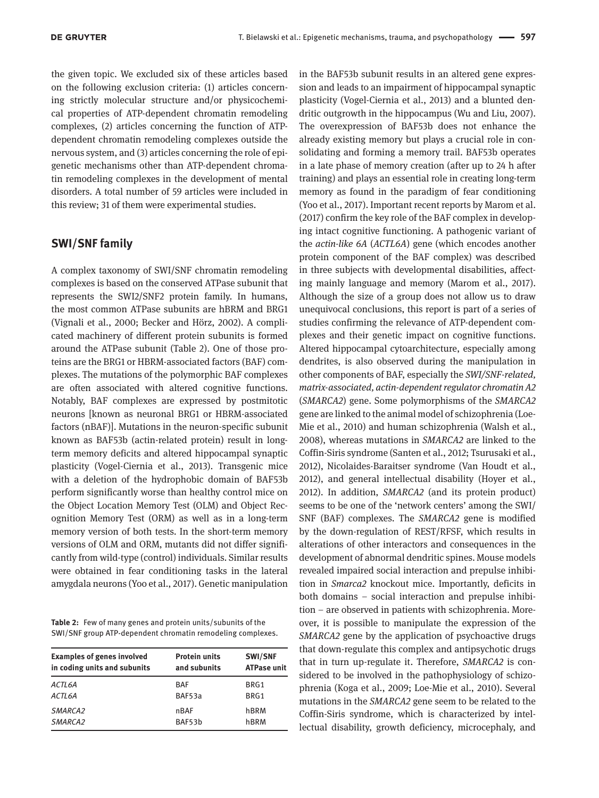the given topic. We excluded six of these articles based on the following exclusion criteria: (1) articles concerning strictly molecular structure and/or physicochemical properties of ATP-dependent chromatin remodeling complexes, (2) articles concerning the function of ATPdependent chromatin remodeling complexes outside the nervous system, and (3) articles concerning the role of epigenetic mechanisms other than ATP-dependent chromatin remodeling complexes in the development of mental disorders. A total number of 59 articles were included in this review; 31 of them were experimental studies.

#### **SWI/SNF family**

A complex taxonomy of SWI/SNF chromatin remodeling complexes is based on the conserved ATPase subunit that represents the SWI2/SNF2 protein family. In humans, the most common ATPase subunits are hBRM and BRG1 (Vignali et al., 2000; Becker and Hörz, 2002). A complicated machinery of different protein subunits is formed around the ATPase subunit (Table 2). One of those proteins are the BRG1 or HBRM-associated factors (BAF) complexes. The mutations of the polymorphic BAF complexes are often associated with altered cognitive functions. Notably, BAF complexes are expressed by postmitotic neurons [known as neuronal BRG1 or HBRM-associated factors (nBAF)]. Mutations in the neuron-specific subunit known as BAF53b (actin-related protein) result in longterm memory deficits and altered hippocampal synaptic plasticity (Vogel-Ciernia et al., 2013). Transgenic mice with a deletion of the hydrophobic domain of BAF53b perform significantly worse than healthy control mice on the Object Location Memory Test (OLM) and Object Recognition Memory Test (ORM) as well as in a long-term memory version of both tests. In the short-term memory versions of OLM and ORM, mutants did not differ significantly from wild-type (control) individuals. Similar results were obtained in fear conditioning tasks in the lateral amygdala neurons (Yoo et al., 2017). Genetic manipulation

**Table 2:** Few of many genes and protein units/subunits of the SWI/SNF group ATP-dependent chromatin remodeling complexes.

| <b>Examples of genes involved</b> | <b>Protein units</b> | SWI/SNF            |
|-----------------------------------|----------------------|--------------------|
| in coding units and subunits      | and subunits         | <b>ATPase unit</b> |
| ACTL6A                            | <b>BAF</b>           | BRG1               |
| ACTL6A                            | BAF53a               | BRG1               |
| SMARCA <sub>2</sub>               | nBAF                 | hBRM               |
| SMARCA <sub>2</sub>               | BAF53b               | hBRM               |

in the BAF53b subunit results in an altered gene expression and leads to an impairment of hippocampal synaptic plasticity (Vogel-Ciernia et al., 2013) and a blunted dendritic outgrowth in the hippocampus (Wu and Liu, 2007). The overexpression of BAF53b does not enhance the already existing memory but plays a crucial role in consolidating and forming a memory trail. BAF53b operates in a late phase of memory creation (after up to 24 h after training) and plays an essential role in creating long-term memory as found in the paradigm of fear conditioning (Yoo et al., 2017). Important recent reports by Marom et al. (2017) confirm the key role of the BAF complex in developing intact cognitive functioning. A pathogenic variant of the *actin-like 6A* (*ACTL6A*) gene (which encodes another protein component of the BAF complex) was described in three subjects with developmental disabilities, affecting mainly language and memory (Marom et al., 2017). Although the size of a group does not allow us to draw unequivocal conclusions, this report is part of a series of studies confirming the relevance of ATP-dependent complexes and their genetic impact on cognitive functions. Altered hippocampal cytoarchitecture, especially among dendrites, is also observed during the manipulation in other components of BAF, especially the *SWI/SNF-related, matrix-associated, actin-dependent regulator chromatin A2* (*SMARCA2*) gene. Some polymorphisms of the *SMARCA2* gene are linked to the animal model of schizophrenia (Loe-Mie et al., 2010) and human schizophrenia (Walsh et al., 2008), whereas mutations in *SMARCA2* are linked to the Coffin-Siris syndrome (Santen et al., 2012; Tsurusaki et al., 2012), Nicolaides-Baraitser syndrome (Van Houdt et al., 2012), and general intellectual disability (Hoyer et al., 2012). In addition, *SMARCA2* (and its protein product) seems to be one of the 'network centers' among the SWI/ SNF (BAF) complexes. The *SMARCA2* gene is modified by the down-regulation of REST/RFSF, which results in alterations of other interactors and consequences in the development of abnormal dendritic spines. Mouse models revealed impaired social interaction and prepulse inhibition in *Smarca2* knockout mice. Importantly, deficits in both domains – social interaction and prepulse inhibition – are observed in patients with schizophrenia. Moreover, it is possible to manipulate the expression of the *SMARCA2* gene by the application of psychoactive drugs that down-regulate this complex and antipsychotic drugs that in turn up-regulate it. Therefore, *SMARCA2* is considered to be involved in the pathophysiology of schizophrenia (Koga et al., 2009; Loe-Mie et al., 2010). Several mutations in the *SMARCA2* gene seem to be related to the Coffin-Siris syndrome, which is characterized by intellectual disability, growth deficiency, microcephaly, and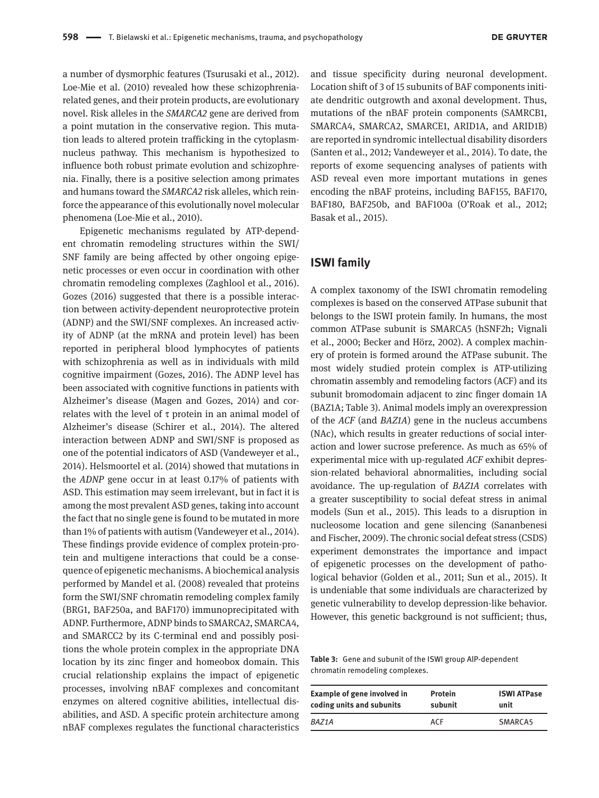a number of dysmorphic features (Tsurusaki et al., 2012). Loe-Mie et al. (2010) revealed how these schizophreniarelated genes, and their protein products, are evolutionary novel. Risk alleles in the *SMARCA2* gene are derived from a point mutation in the conservative region. This mutation leads to altered protein trafficking in the cytoplasmnucleus pathway. This mechanism is hypothesized to influence both robust primate evolution and schizophrenia. Finally, there is a positive selection among primates and humans toward the *SMARCA2* risk alleles, which reinforce the appearance of this evolutionally novel molecular phenomena (Loe-Mie et al., 2010).

Epigenetic mechanisms regulated by ATP-dependent chromatin remodeling structures within the SWI/ SNF family are being affected by other ongoing epigenetic processes or even occur in coordination with other chromatin remodeling complexes (Zaghlool et al., 2016). Gozes (2016) suggested that there is a possible interaction between activity-dependent neuroprotective protein (ADNP) and the SWI/SNF complexes. An increased activity of ADNP (at the mRNA and protein level) has been reported in peripheral blood lymphocytes of patients with schizophrenia as well as in individuals with mild cognitive impairment (Gozes, 2016). The ADNP level has been associated with cognitive functions in patients with Alzheimer's disease (Magen and Gozes, 2014) and correlates with the level of  $\tau$  protein in an animal model of Alzheimer's disease (Schirer et al., 2014). The altered interaction between ADNP and SWI/SNF is proposed as one of the potential indicators of ASD (Vandeweyer et al., 2014). Helsmoortel et al. (2014) showed that mutations in the *ADNP* gene occur in at least 0.17% of patients with ASD. This estimation may seem irrelevant, but in fact it is among the most prevalent ASD genes, taking into account the fact that no single gene is found to be mutated in more than 1% of patients with autism (Vandeweyer et al., 2014). These findings provide evidence of complex protein-protein and multigene interactions that could be a consequence of epigenetic mechanisms. A biochemical analysis performed by Mandel et al. (2008) revealed that proteins form the SWI/SNF chromatin remodeling complex family (BRG1, BAF250a, and BAF170) immunoprecipitated with ADNP. Furthermore, ADNP binds to SMARCA2, SMARCA4, and SMARCC2 by its C-terminal end and possibly positions the whole protein complex in the appropriate DNA location by its zinc finger and homeobox domain. This crucial relationship explains the impact of epigenetic processes, involving nBAF complexes and concomitant enzymes on altered cognitive abilities, intellectual disabilities, and ASD. A specific protein architecture among nBAF complexes regulates the functional characteristics

and tissue specificity during neuronal development. Location shift of 3 of 15 subunits of BAF components initiate dendritic outgrowth and axonal development. Thus, mutations of the nBAF protein components (SAMRCB1, SMARCA4, SMARCA2, SMARCE1, ARID1A, and ARID1B) are reported in syndromic intellectual disability disorders (Santen et al., 2012; Vandeweyer et al., 2014). To date, the reports of exome sequencing analyses of patients with ASD reveal even more important mutations in genes encoding the nBAF proteins, including BAF155, BAF170, BAF180, BAF250b, and BAF100a (O'Roak et al., 2012; Basak et al., 2015).

#### **ISWI family**

A complex taxonomy of the ISWI chromatin remodeling complexes is based on the conserved ATPase subunit that belongs to the ISWI protein family. In humans, the most common ATPase subunit is SMARCA5 (hSNF2h; Vignali et al., 2000; Becker and Hörz, 2002). A complex machinery of protein is formed around the ATPase subunit. The most widely studied protein complex is ATP-utilizing chromatin assembly and remodeling factors (ACF) and its subunit bromodomain adjacent to zinc finger domain 1A (BAZ1A; Table 3). Animal models imply an overexpression of the *ACF* (and *BAZ1A*) gene in the nucleus accumbens (NAc), which results in greater reductions of social interaction and lower sucrose preference. As much as 65% of experimental mice with up-regulated *ACF* exhibit depression-related behavioral abnormalities, including social avoidance. The up-regulation of *BAZ1A* correlates with a greater susceptibility to social defeat stress in animal models (Sun et al., 2015). This leads to a disruption in nucleosome location and gene silencing (Sananbenesi and Fischer, 2009). The chronic social defeat stress (CSDS) experiment demonstrates the importance and impact of epigenetic processes on the development of pathological behavior (Golden et al., 2011; Sun et al., 2015). It is undeniable that some individuals are characterized by genetic vulnerability to develop depression-like behavior. However, this genetic background is not sufficient; thus,

**Table 3:** Gene and subunit of the ISWI group AlP-dependent chromatin remodeling complexes.

| <b>Example of gene involved in</b> | Protein    | <b>ISWI ATPase</b> |
|------------------------------------|------------|--------------------|
| coding units and subunits          | subunit    | unit               |
| BAZ1A                              | <b>ACF</b> | SMARCA5            |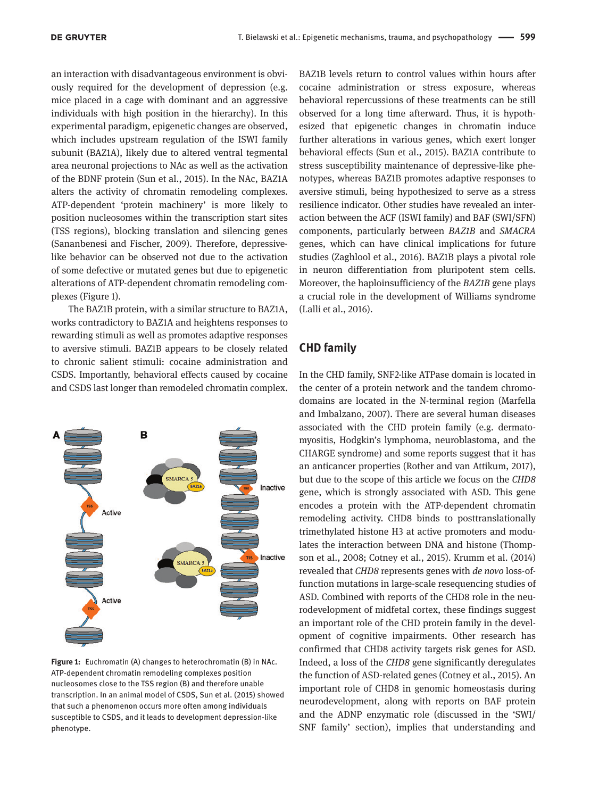an interaction with disadvantageous environment is obviously required for the development of depression (e.g. mice placed in a cage with dominant and an aggressive individuals with high position in the hierarchy). In this experimental paradigm, epigenetic changes are observed, which includes upstream regulation of the ISWI family subunit (BAZ1A), likely due to altered ventral tegmental area neuronal projections to NAc as well as the activation of the BDNF protein (Sun et al., 2015). In the NAc, BAZ1A alters the activity of chromatin remodeling complexes. ATP-dependent 'protein machinery' is more likely to position nucleosomes within the transcription start sites (TSS regions), blocking translation and silencing genes (Sananbenesi and Fischer, 2009). Therefore, depressivelike behavior can be observed not due to the activation of some defective or mutated genes but due to epigenetic alterations of ATP-dependent chromatin remodeling complexes (Figure 1).

The BAZ1B protein, with a similar structure to BAZ1A, works contradictory to BAZ1A and heightens responses to rewarding stimuli as well as promotes adaptive responses to aversive stimuli. BAZ1B appears to be closely related to chronic salient stimuli: cocaine administration and CSDS. Importantly, behavioral effects caused by cocaine and CSDS last longer than remodeled chromatin complex.



**Figure 1:** Euchromatin (A) changes to heterochromatin (B) in NAc. ATP-dependent chromatin remodeling complexes position nucleosomes close to the TSS region (B) and therefore unable transcription. In an animal model of CSDS, Sun et al. (2015) showed that such a phenomenon occurs more often among individuals susceptible to CSDS, and it leads to development depression-like phenotype.

BAZ1B levels return to control values within hours after cocaine administration or stress exposure, whereas behavioral repercussions of these treatments can be still observed for a long time afterward. Thus, it is hypothesized that epigenetic changes in chromatin induce further alterations in various genes, which exert longer behavioral effects (Sun et al., 2015). BAZ1A contribute to stress susceptibility maintenance of depressive-like phenotypes, whereas BAZ1B promotes adaptive responses to aversive stimuli, being hypothesized to serve as a stress resilience indicator. Other studies have revealed an interaction between the ACF (ISWI family) and BAF (SWI/SFN) components, particularly between *BAZ1B* and *SMACRA* genes, which can have clinical implications for future studies (Zaghlool et al., 2016). BAZ1B plays a pivotal role in neuron differentiation from pluripotent stem cells. Moreover, the haploinsufficiency of the *BAZ1B* gene plays a crucial role in the development of Williams syndrome (Lalli et al., 2016).

#### **CHD family**

In the CHD family, SNF2-like ATPase domain is located in the center of a protein network and the tandem chromodomains are located in the N-terminal region (Marfella and Imbalzano, 2007). There are several human diseases associated with the CHD protein family (e.g. dermatomyositis, Hodgkin's lymphoma, neuroblastoma, and the CHARGE syndrome) and some reports suggest that it has an anticancer properties (Rother and van Attikum, 2017), but due to the scope of this article we focus on the *CHD8* gene, which is strongly associated with ASD. This gene encodes a protein with the ATP-dependent chromatin remodeling activity. CHD8 binds to posttranslationally trimethylated histone H3 at active promoters and modulates the interaction between DNA and histone (Thompson et al., 2008; Cotney et al., 2015). Krumm et al. (2014) revealed that *CHD8* represents genes with *de novo* loss-offunction mutations in large-scale resequencing studies of ASD. Combined with reports of the CHD8 role in the neurodevelopment of midfetal cortex, these findings suggest an important role of the CHD protein family in the development of cognitive impairments. Other research has confirmed that CHD8 activity targets risk genes for ASD. Indeed, a loss of the *CHD8* gene significantly deregulates the function of ASD-related genes (Cotney et al., 2015). An important role of CHD8 in genomic homeostasis during neurodevelopment, along with reports on BAF protein and the ADNP enzymatic role (discussed in the 'SWI/ SNF family' section), implies that understanding and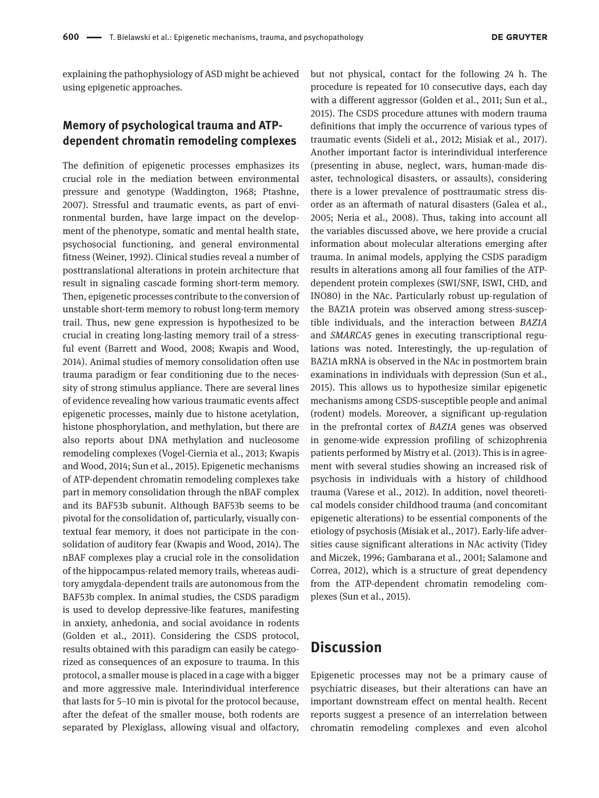explaining the pathophysiology of ASD might be achieved using epigenetic approaches.

## **Memory of psychological trauma and ATPdependent chromatin remodeling complexes**

The definition of epigenetic processes emphasizes its crucial role in the mediation between environmental pressure and genotype (Waddington, 1968; Ptashne, 2007). Stressful and traumatic events, as part of environmental burden, have large impact on the development of the phenotype, somatic and mental health state, psychosocial functioning, and general environmental fitness (Weiner, 1992). Clinical studies reveal a number of posttranslational alterations in protein architecture that result in signaling cascade forming short-term memory. Then, epigenetic processes contribute to the conversion of unstable short-term memory to robust long-term memory trail. Thus, new gene expression is hypothesized to be crucial in creating long-lasting memory trail of a stressful event (Barrett and Wood, 2008; Kwapis and Wood, 2014). Animal studies of memory consolidation often use trauma paradigm or fear conditioning due to the necessity of strong stimulus appliance. There are several lines of evidence revealing how various traumatic events affect epigenetic processes, mainly due to histone acetylation, histone phosphorylation, and methylation, but there are also reports about DNA methylation and nucleosome remodeling complexes (Vogel-Ciernia et al., 2013; Kwapis and Wood, 2014; Sun et al., 2015). Epigenetic mechanisms of ATP-dependent chromatin remodeling complexes take part in memory consolidation through the nBAF complex and its BAF53b subunit. Although BAF53b seems to be pivotal for the consolidation of, particularly, visually contextual fear memory, it does not participate in the consolidation of auditory fear (Kwapis and Wood, 2014). The nBAF complexes play a crucial role in the consolidation of the hippocampus-related memory trails, whereas auditory amygdala-dependent trails are autonomous from the BAF53b complex. In animal studies, the CSDS paradigm is used to develop depressive-like features, manifesting in anxiety, anhedonia, and social avoidance in rodents (Golden et al., 2011). Considering the CSDS protocol, results obtained with this paradigm can easily be categorized as consequences of an exposure to trauma. In this protocol, a smaller mouse is placed in a cage with a bigger and more aggressive male. Interindividual interference that lasts for 5–10 min is pivotal for the protocol because, after the defeat of the smaller mouse, both rodents are separated by Plexiglass, allowing visual and olfactory,

but not physical, contact for the following 24 h. The procedure is repeated for 10 consecutive days, each day with a different aggressor (Golden et al., 2011; Sun et al., 2015). The CSDS procedure attunes with modern trauma definitions that imply the occurrence of various types of traumatic events (Sideli et al., 2012; Misiak et al., 2017). Another important factor is interindividual interference (presenting in abuse, neglect, wars, human-made disaster, technological disasters, or assaults), considering there is a lower prevalence of posttraumatic stress disorder as an aftermath of natural disasters (Galea et al., 2005; Neria et al., 2008). Thus, taking into account all the variables discussed above, we here provide a crucial information about molecular alterations emerging after trauma. In animal models, applying the CSDS paradigm results in alterations among all four families of the ATPdependent protein complexes (SWI/SNF, ISWI, CHD, and INO80) in the NAc. Particularly robust up-regulation of the BAZ1A protein was observed among stress-susceptible individuals, and the interaction between *BAZ1A* and *SMARCA5* genes in executing transcriptional regulations was noted. Interestingly, the up-regulation of BAZ1A mRNA is observed in the NAc in postmortem brain examinations in individuals with depression (Sun et al., 2015). This allows us to hypothesize similar epigenetic mechanisms among CSDS-susceptible people and animal (rodent) models. Moreover, a significant up-regulation in the prefrontal cortex of *BAZ1A* genes was observed in genome-wide expression profiling of schizophrenia patients performed by Mistry et al. (2013). This is in agreement with several studies showing an increased risk of psychosis in individuals with a history of childhood trauma (Varese et al., 2012). In addition, novel theoretical models consider childhood trauma (and concomitant epigenetic alterations) to be essential components of the etiology of psychosis (Misiak et al., 2017). Early-life adversities cause significant alterations in NAc activity (Tidey and Miczek, 1996; Gambarana et al., 2001; Salamone and Correa, 2012), which is a structure of great dependency from the ATP-dependent chromatin remodeling complexes (Sun et al., 2015).

## **Discussion**

Epigenetic processes may not be a primary cause of psychiatric diseases, but their alterations can have an important downstream effect on mental health. Recent reports suggest a presence of an interrelation between chromatin remodeling complexes and even alcohol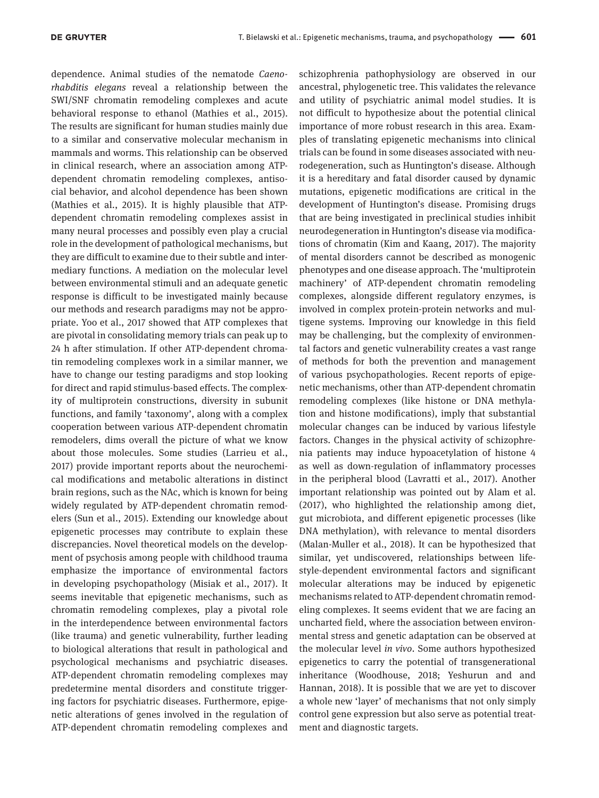dependence. Animal studies of the nematode *Caenorhabditis elegans* reveal a relationship between the SWI/SNF chromatin remodeling complexes and acute behavioral response to ethanol (Mathies et al., 2015). The results are significant for human studies mainly due to a similar and conservative molecular mechanism in mammals and worms. This relationship can be observed in clinical research, where an association among ATPdependent chromatin remodeling complexes, antisocial behavior, and alcohol dependence has been shown (Mathies et al., 2015). It is highly plausible that ATPdependent chromatin remodeling complexes assist in many neural processes and possibly even play a crucial role in the development of pathological mechanisms, but they are difficult to examine due to their subtle and intermediary functions. A mediation on the molecular level between environmental stimuli and an adequate genetic response is difficult to be investigated mainly because our methods and research paradigms may not be appropriate. Yoo et al., 2017 showed that ATP complexes that are pivotal in consolidating memory trials can peak up to 24 h after stimulation. If other ATP-dependent chromatin remodeling complexes work in a similar manner, we have to change our testing paradigms and stop looking for direct and rapid stimulus-based effects. The complexity of multiprotein constructions, diversity in subunit functions, and family 'taxonomy', along with a complex cooperation between various ATP-dependent chromatin remodelers, dims overall the picture of what we know about those molecules. Some studies (Larrieu et al., 2017) provide important reports about the neurochemical modifications and metabolic alterations in distinct brain regions, such as the NAc, which is known for being widely regulated by ATP-dependent chromatin remodelers (Sun et al., 2015). Extending our knowledge about epigenetic processes may contribute to explain these discrepancies. Novel theoretical models on the development of psychosis among people with childhood trauma emphasize the importance of environmental factors in developing psychopathology (Misiak et al., 2017). It seems inevitable that epigenetic mechanisms, such as chromatin remodeling complexes, play a pivotal role in the interdependence between environmental factors (like trauma) and genetic vulnerability, further leading to biological alterations that result in pathological and psychological mechanisms and psychiatric diseases. ATP-dependent chromatin remodeling complexes may predetermine mental disorders and constitute triggering factors for psychiatric diseases. Furthermore, epigenetic alterations of genes involved in the regulation of ATP-dependent chromatin remodeling complexes and

schizophrenia pathophysiology are observed in our ancestral, phylogenetic tree. This validates the relevance and utility of psychiatric animal model studies. It is not difficult to hypothesize about the potential clinical importance of more robust research in this area. Examples of translating epigenetic mechanisms into clinical trials can be found in some diseases associated with neurodegeneration, such as Huntington's disease. Although it is a hereditary and fatal disorder caused by dynamic mutations, epigenetic modifications are critical in the development of Huntington's disease. Promising drugs that are being investigated in preclinical studies inhibit neurodegeneration in Huntington's disease via modifications of chromatin (Kim and Kaang, 2017). The majority of mental disorders cannot be described as monogenic phenotypes and one disease approach. The 'multiprotein machinery' of ATP-dependent chromatin remodeling complexes, alongside different regulatory enzymes, is involved in complex protein-protein networks and multigene systems. Improving our knowledge in this field may be challenging, but the complexity of environmental factors and genetic vulnerability creates a vast range of methods for both the prevention and management of various psychopathologies. Recent reports of epigenetic mechanisms, other than ATP-dependent chromatin remodeling complexes (like histone or DNA methylation and histone modifications), imply that substantial molecular changes can be induced by various lifestyle factors. Changes in the physical activity of schizophrenia patients may induce hypoacetylation of histone 4 as well as down-regulation of inflammatory processes in the peripheral blood (Lavratti et al., 2017). Another important relationship was pointed out by Alam et al. (2017), who highlighted the relationship among diet, gut microbiota, and different epigenetic processes (like DNA methylation), with relevance to mental disorders (Malan-Muller et al., 2018). It can be hypothesized that similar, yet undiscovered, relationships between lifestyle-dependent environmental factors and significant molecular alterations may be induced by epigenetic mechanisms related to ATP-dependent chromatin remodeling complexes. It seems evident that we are facing an uncharted field, where the association between environmental stress and genetic adaptation can be observed at the molecular level *in vivo*. Some authors hypothesized epigenetics to carry the potential of transgenerational inheritance (Woodhouse, 2018; Yeshurun and and Hannan, 2018). It is possible that we are yet to discover a whole new 'layer' of mechanisms that not only simply control gene expression but also serve as potential treatment and diagnostic targets.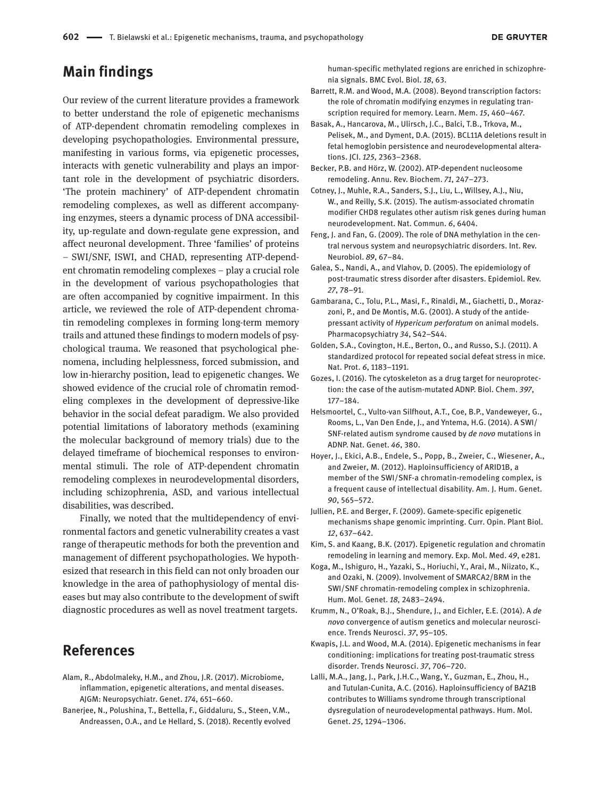## **Main findings**

Our review of the current literature provides a framework to better understand the role of epigenetic mechanisms of ATP-dependent chromatin remodeling complexes in developing psychopathologies. Environmental pressure, manifesting in various forms, via epigenetic processes, interacts with genetic vulnerability and plays an important role in the development of psychiatric disorders. 'The protein machinery' of ATP-dependent chromatin remodeling complexes, as well as different accompanying enzymes, steers a dynamic process of DNA accessibility, up-regulate and down-regulate gene expression, and affect neuronal development. Three 'families' of proteins – SWI/SNF, ISWI, and CHAD, representing ATP-dependent chromatin remodeling complexes – play a crucial role in the development of various psychopathologies that are often accompanied by cognitive impairment. In this article, we reviewed the role of ATP-dependent chromatin remodeling complexes in forming long-term memory trails and attuned these findings to modern models of psychological trauma. We reasoned that psychological phenomena, including helplessness, forced submission, and low in-hierarchy position, lead to epigenetic changes. We showed evidence of the crucial role of chromatin remodeling complexes in the development of depressive-like behavior in the social defeat paradigm. We also provided potential limitations of laboratory methods (examining the molecular background of memory trials) due to the delayed timeframe of biochemical responses to environmental stimuli. The role of ATP-dependent chromatin remodeling complexes in neurodevelopmental disorders, including schizophrenia, ASD, and various intellectual disabilities, was described.

Finally, we noted that the multidependency of environmental factors and genetic vulnerability creates a vast range of therapeutic methods for both the prevention and management of different psychopathologies. We hypothesized that research in this field can not only broaden our knowledge in the area of pathophysiology of mental diseases but may also contribute to the development of swift diagnostic procedures as well as novel treatment targets.

## **References**

- Alam, R., Abdolmaleky, H.M., and Zhou, J.R. (2017). Microbiome, inflammation, epigenetic alterations, and mental diseases. AJGM: Neuropsychiatr. Genet. *174*, 651–660.
- Banerjee, N., Polushina, T., Bettella, F., Giddaluru, S., Steen, V.M., Andreassen, O.A., and Le Hellard, S. (2018). Recently evolved

human-specific methylated regions are enriched in schizophrenia signals. BMC Evol. Biol. *18*, 63.

- Barrett, R.M. and Wood, M.A. (2008). Beyond transcription factors: the role of chromatin modifying enzymes in regulating transcription required for memory. Learn. Mem. *15*, 460–467.
- Basak, A., Hancarova, M., Ulirsch, J.C., Balci, T.B., Trkova, M., Pelisek, M., and Dyment, D.A. (2015). BCL11A deletions result in fetal hemoglobin persistence and neurodevelopmental alterations. JCI. *125*, 2363–2368.
- Becker, P.B. and Hörz, W. (2002). ATP-dependent nucleosome remodeling. Annu. Rev. Biochem. *71*, 247–273.
- Cotney, J., Muhle, R.A., Sanders, S.J., Liu, L., Willsey, A.J., Niu, W., and Reilly, S.K. (2015). The autism-associated chromatin modifier CHD8 regulates other autism risk genes during human neurodevelopment. Nat. Commun. *6*, 6404.
- Feng, J. and Fan, G. (2009). The role of DNA methylation in the central nervous system and neuropsychiatric disorders. Int. Rev. Neurobiol. *89*, 67–84.
- Galea, S., Nandi, A., and Vlahov, D. (2005). The epidemiology of post-traumatic stress disorder after disasters. Epidemiol. Rev. *27*, 78–91.
- Gambarana, C., Tolu, P.L., Masi, F., Rinaldi, M., Giachetti, D., Morazzoni, P., and De Montis, M.G. (2001). A study of the antidepressant activity of *Hypericum perforatum* on animal models. Pharmacopsychiatry *34*, S42–S44.
- Golden, S.A., Covington, H.E., Berton, O., and Russo, S.J. (2011). A standardized protocol for repeated social defeat stress in mice. Nat. Prot. *6*, 1183–1191.
- Gozes, I. (2016). The cytoskeleton as a drug target for neuroprotection: the case of the autism-mutated ADNP. Biol. Chem. *397*, 177–184.
- Helsmoortel, C., Vulto-van Silfhout, A.T., Coe, B.P., Vandeweyer, G., Rooms, L., Van Den Ende, J., and Yntema, H.G. (2014). A SWI/ SNF-related autism syndrome caused by *de novo* mutations in ADNP. Nat. Genet. *46*, 380.
- Hoyer, J., Ekici, A.B., Endele, S., Popp, B., Zweier, C., Wiesener, A., and Zweier, M. (2012). Haploinsufficiency of ARID1B, a member of the SWI/SNF-a chromatin-remodeling complex, is a frequent cause of intellectual disability. Am. J. Hum. Genet. *90*, 565–572.
- Jullien, P.E. and Berger, F. (2009). Gamete-specific epigenetic mechanisms shape genomic imprinting. Curr. Opin. Plant Biol. *12*, 637–642.
- Kim, S. and Kaang, B.K. (2017). Epigenetic regulation and chromatin remodeling in learning and memory. Exp. Mol. Med. *49*, e281.
- Koga, M., Ishiguro, H., Yazaki, S., Horiuchi, Y., Arai, M., Niizato, K., and Ozaki, N. (2009). Involvement of SMARCA2/BRM in the SWI/SNF chromatin-remodeling complex in schizophrenia. Hum. Mol. Genet. *18*, 2483–2494.
- Krumm, N., O'Roak, B.J., Shendure, J., and Eichler, E.E. (2014). A *de novo* convergence of autism genetics and molecular neuroscience. Trends Neurosci. *37*, 95–105.
- Kwapis, J.L. and Wood, M.A. (2014). Epigenetic mechanisms in fear conditioning: implications for treating post-traumatic stress disorder. Trends Neurosci. *37*, 706–720.
- Lalli, M.A., Jang, J., Park, J.H.C., Wang, Y., Guzman, E., Zhou, H., and Tutulan-Cunita, A.C. (2016). Haploinsufficiency of BAZ1B contributes to Williams syndrome through transcriptional dysregulation of neurodevelopmental pathways. Hum. Mol. Genet. *25*, 1294–1306.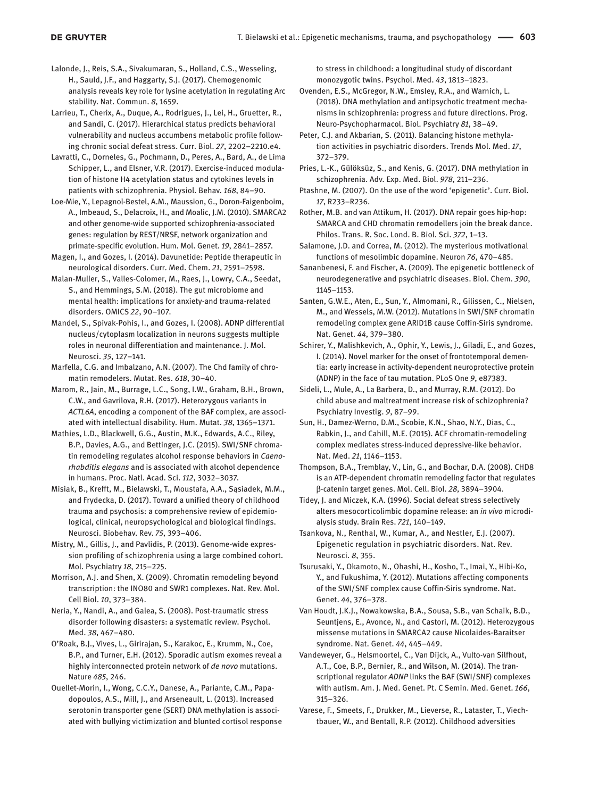Lalonde, J., Reis, S.A., Sivakumaran, S., Holland, C.S., Wesseling, H., Sauld, J.F., and Haggarty, S.J. (2017). Chemogenomic analysis reveals key role for lysine acetylation in regulating Arc stability. Nat. Commun. *8*, 1659.

Larrieu, T., Cherix, A., Duque, A., Rodrigues, J., Lei, H., Gruetter, R., and Sandi, C. (2017). Hierarchical status predicts behavioral vulnerability and nucleus accumbens metabolic profile following chronic social defeat stress. Curr. Biol. *27*, 2202–2210.e4.

Lavratti, C., Dorneles, G., Pochmann, D., Peres, A., Bard, A., de Lima Schipper, L., and Elsner, V.R. (2017). Exercise-induced modulation of histone H4 acetylation status and cytokines levels in patients with schizophrenia. Physiol. Behav. *168*, 84–90.

Loe-Mie, Y., Lepagnol-Bestel, A.M., Maussion, G., Doron-Faigenboim, A., Imbeaud, S., Delacroix, H., and Moalic, J.M. (2010). SMARCA2 and other genome-wide supported schizophrenia-associated genes: regulation by REST/NRSF, network organization and primate-specific evolution. Hum. Mol. Genet. *19*, 2841–2857.

Magen, I., and Gozes, I. (2014). Davunetide: Peptide therapeutic in neurological disorders. Curr. Med. Chem. *21*, 2591–2598.

Malan-Muller, S., Valles-Colomer, M., Raes, J., Lowry, C.A., Seedat, S., and Hemmings, S.M. (2018). The gut microbiome and mental health: implications for anxiety-and trauma-related disorders. OMICS *22*, 90–107.

Mandel, S., Spivak-Pohis, I., and Gozes, I. (2008). ADNP differential nucleus/cytoplasm localization in neurons suggests multiple roles in neuronal differentiation and maintenance. J. Mol. Neurosci. *35*, 127–141.

Marfella, C.G. and Imbalzano, A.N. (2007). The Chd family of chromatin remodelers. Mutat. Res. *618*, 30–40.

Marom, R., Jain, M., Burrage, L.C., Song, I.W., Graham, B.H., Brown, C.W., and Gavrilova, R.H. (2017). Heterozygous variants in *ACTL6A*, encoding a component of the BAF complex, are associated with intellectual disability. Hum. Mutat. *38*, 1365–1371.

Mathies, L.D., Blackwell, G.G., Austin, M.K., Edwards, A.C., Riley, B.P., Davies, A.G., and Bettinger, J.C. (2015). SWI/SNF chromatin remodeling regulates alcohol response behaviors in *Caenorhabditis elegans* and is associated with alcohol dependence in humans. Proc. Natl. Acad. Sci. *112*, 3032–3037.

Misiak, B., Krefft, M., Bielawski, T., Moustafa, A.A., Sąsiadek, M.M., and Frydecka, D. (2017). Toward a unified theory of childhood trauma and psychosis: a comprehensive review of epidemiological, clinical, neuropsychological and biological findings. Neurosci. Biobehav. Rev. *75*, 393–406.

Mistry, M., Gillis, J., and Pavlidis, P. (2013). Genome-wide expression profiling of schizophrenia using a large combined cohort. Mol. Psychiatry *18*, 215–225.

Morrison, A.J. and Shen, X. (2009). Chromatin remodeling beyond transcription: the INO80 and SWR1 complexes. Nat. Rev. Mol. Cell Biol. *10*, 373–384.

Neria, Y., Nandi, A., and Galea, S. (2008). Post-traumatic stress disorder following disasters: a systematic review. Psychol. Med. *38*, 467–480.

O'Roak, B.J., Vives, L., Girirajan, S., Karakoc, E., Krumm, N., Coe, B.P., and Turner, E.H. (2012). Sporadic autism exomes reveal a highly interconnected protein network of *de novo* mutations. Nature *485*, 246.

Ouellet-Morin, I., Wong, C.C.Y., Danese, A., Pariante, C.M., Papadopoulos, A.S., Mill, J., and Arseneault, L. (2013). Increased serotonin transporter gene (SERT) DNA methylation is associated with bullying victimization and blunted cortisol response to stress in childhood: a longitudinal study of discordant monozygotic twins. Psychol. Med. *43*, 1813–1823.

Ovenden, E.S., McGregor, N.W., Emsley, R.A., and Warnich, L. (2018). DNA methylation and antipsychotic treatment mechanisms in schizophrenia: progress and future directions. Prog. Neuro-Psychopharmacol. Biol. Psychiatry *81*, 38–49.

Peter, C.J. and Akbarian, S. (2011). Balancing histone methylation activities in psychiatric disorders. Trends Mol. Med. *17*, 372–379.

Pries, L.-K., Gülöksüz, S., and Kenis, G. (2017). DNA methylation in schizophrenia. Adv. Exp. Med. Biol. *978*, 211–236.

Ptashne, M. (2007). On the use of the word 'epigenetic'. Curr. Biol. *17*, R233–R236.

Rother, M.B. and van Attikum, H. (2017). DNA repair goes hip-hop: SMARCA and CHD chromatin remodellers join the break dance. Philos. Trans. R. Soc. Lond. B. Biol. Sci. *372*, 1–13.

Salamone, J.D. and Correa, M. (2012). The mysterious motivational functions of mesolimbic dopamine. Neuron *76*, 470–485.

Sananbenesi, F. and Fischer, A. (2009). The epigenetic bottleneck of neurodegenerative and psychiatric diseases. Biol. Chem. *390*, 1145–1153.

Santen, G.W.E., Aten, E., Sun, Y., Almomani, R., Gilissen, C., Nielsen, M., and Wessels, M.W. (2012). Mutations in SWI/SNF chromatin remodeling complex gene ARID1B cause Coffin-Siris syndrome. Nat. Genet. *44*, 379–380.

Schirer, Y., Malishkevich, A., Ophir, Y., Lewis, J., Giladi, E., and Gozes, I. (2014). Novel marker for the onset of frontotemporal dementia: early increase in activity-dependent neuroprotective protein (ADNP) in the face of tau mutation. PLoS One *9*, e87383.

Sideli, L., Mule, A., La Barbera, D., and Murray, R.M. (2012). Do child abuse and maltreatment increase risk of schizophrenia? Psychiatry Investig. *9*, 87–99.

Sun, H., Damez-Werno, D.M., Scobie, K.N., Shao, N.Y., Dias, C., Rabkin, J., and Cahill, M.E. (2015). ACF chromatin-remodeling complex mediates stress-induced depressive-like behavior. Nat. Med. *21*, 1146–1153.

Thompson, B.A., Tremblay, V., Lin, G., and Bochar, D.A. (2008). CHD8 is an ATP-dependent chromatin remodeling factor that regulates β-catenin target genes. Mol. Cell. Biol. *28*, 3894–3904.

Tidey, J. and Miczek, K.A. (1996). Social defeat stress selectively alters mesocorticolimbic dopamine release: an *in vivo* microdialysis study. Brain Res. *721*, 140–149.

Tsankova, N., Renthal, W., Kumar, A., and Nestler, E.J. (2007). Epigenetic regulation in psychiatric disorders. Nat. Rev. Neurosci. *8*, 355.

Tsurusaki, Y., Okamoto, N., Ohashi, H., Kosho, T., Imai, Y., Hibi-Ko, Y., and Fukushima, Y. (2012). Mutations affecting components of the SWI/SNF complex cause Coffin-Siris syndrome. Nat. Genet. *44*, 376–378.

Van Houdt, J.K.J., Nowakowska, B.A., Sousa, S.B., van Schaik, B.D., Seuntjens, E., Avonce, N., and Castori, M. (2012). Heterozygous missense mutations in SMARCA2 cause Nicolaides-Baraitser syndrome. Nat. Genet. *44*, 445–449.

Vandeweyer, G., Helsmoortel, C., Van Dijck, A., Vulto-van Silfhout, A.T., Coe, B.P., Bernier, R., and Wilson, M. (2014). The transcriptional regulator *ADNP* links the BAF (SWI/SNF) complexes with autism. Am. J. Med. Genet. Pt. C Semin. Med. Genet. *166*, 315–326.

Varese, F., Smeets, F., Drukker, M., Lieverse, R., Lataster, T., Viechtbauer, W., and Bentall, R.P. (2012). Childhood adversities